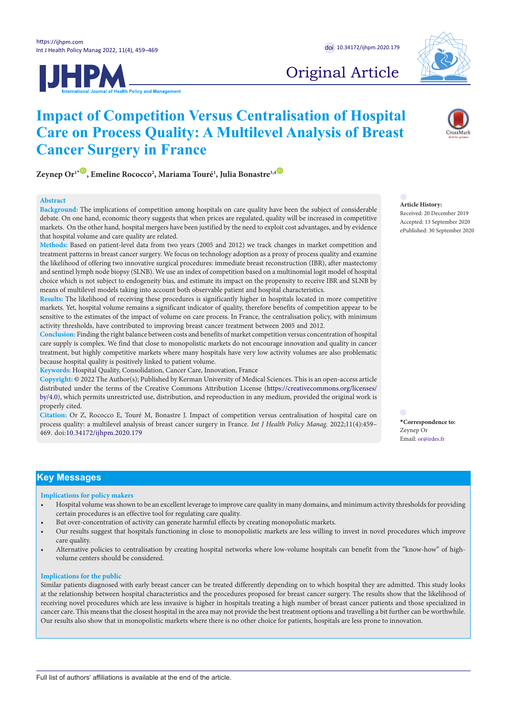

**Cancer Surgery in France**



# Original Article

 $\mathbf{Z}$ eynep Or<sup>1</sup>[\\*](#page-0-0) $\mathbf{D}$ , Emeline Rococco<sup>2</sup>, Mariama Touré<sup>1</sup>, Julia Bonastre<sup>3,4 **[ID](https://orcid.org/0000-0001-9884-0072)**</sup>

### **Abstract**

**Background:** The implications of competition among hospitals on care quality have been the subject of considerable debate. On one hand, economic theory suggests that when prices are regulated, quality will be increased in competitive markets. On the other hand, hospital mergers have been justified by the need to exploit cost advantages, and by evidence that hospital volume and care quality are related.

**Impact of Competition Versus Centralisation of Hospital Care on Process Quality: A Multilevel Analysis of Breast** 

**Methods:** Based on patient-level data from two years (2005 and 2012) we track changes in market competition and treatment patterns in breast cancer surgery. We focus on technology adoption as a proxy of process quality and examine the likelihood of offering two innovative surgical procedures: immediate breast reconstruction (IBR), after mastectomy and sentinel lymph node biopsy (SLNB). We use an index of competition based on a multinomial logit model of hospital choice which is not subject to endogeneity bias, and estimate its impact on the propensity to receive IBR and SLNB by means of multilevel models taking into account both observable patient and hospital characteristics.

**Results:** The likelihood of receiving these procedures is significantly higher in hospitals located in more competitive markets. Yet, hospital volume remains a significant indicator of quality, therefore benefits of competition appear to be sensitive to the estimates of the impact of volume on care process. In France, the centralisation policy, with minimum activity thresholds, have contributed to improving breast cancer treatment between 2005 and 2012.

**Conclusion:** Finding the right balance between costs and benefits of market competition versus concentration of hospital care supply is complex. We find that close to monopolistic markets do not encourage innovation and quality in cancer treatment, but highly competitive markets where many hospitals have very low activity volumes are also problematic because hospital quality is positively linked to patient volume.

**Keywords:** Hospital Quality, Consolidation, Cancer Care, Innovation, France

**Copyright:** © 2022 The Author(s); Published by Kerman University of Medical Sciences. This is an open-access article distributed under the terms of the Creative Commons Attribution License [\(https://creativecommons.org/licenses/](https://creativecommons.org/licenses/by/4.0) [by/4.0\)](https://creativecommons.org/licenses/by/4.0), which permits unrestricted use, distribution, and reproduction in any medium, provided the original work is properly cited.

**Citation:** Or Z, Rococco E, Touré M, Bonastre J. Impact of competition versus centralisation of hospital care on process quality: a multilevel analysis of breast cancer surgery in France. *Int J Health Policy Manag.* 2022;11(4):459– 469. doi:[10.34172/ijhpm.2020.179](https://doi.org/10.34172/ijhpm.2020.179)

**Article History:**

Received: 20 December 2019 Accepted: 13 September 2020 ePublished: 30 September 2020

<span id="page-0-0"></span>**\*Correspondence to:** Zeynep Or Email: or@irdes.fr

# **Key Messages**

#### **Implications for policy makers**

- Hospital volume was shown to be an excellent leverage to improve care quality in many domains, and minimum activity thresholds for providing certain procedures is an effective tool for regulating care quality.
- But over-concentration of activity can generate harmful effects by creating monopolistic markets.
- Our results suggest that hospitals functioning in close to monopolistic markets are less willing to invest in novel procedures which improve care quality.
- Alternative policies to centralisation by creating hospital networks where low-volume hospitals can benefit from the "know-how" of highvolume centers should be considered.

#### **Implications for the public**

Similar patients diagnosed with early breast cancer can be treated differently depending on to which hospital they are admitted. This study looks at the relationship between hospital characteristics and the procedures proposed for breast cancer surgery. The results show that the likelihood of receiving novel procedures which are less invasive is higher in hospitals treating a high number of breast cancer patients and those specialized in cancer care. This means that the closest hospital in the area may not provide the best treatment options and travelling a bit further can be worthwhile. Our results also show that in monopolistic markets where there is no other choice for patients, hospitals are less prone to innovation.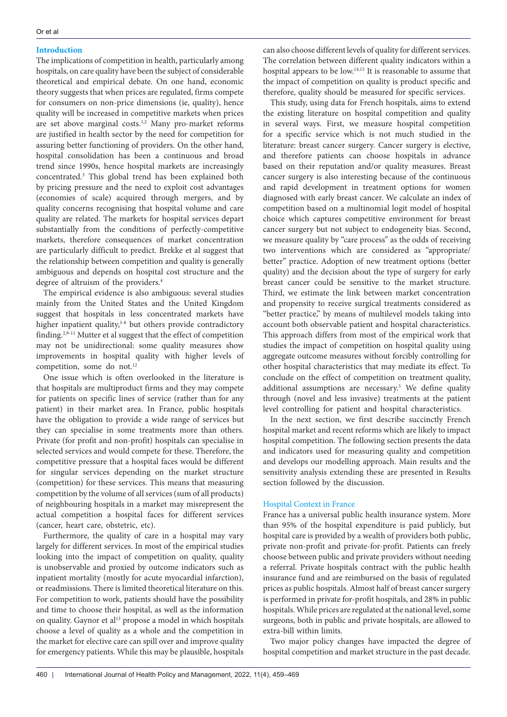# **Introduction**

The implications of competition in health, particularly among hospitals, on care quality have been the subject of considerable theoretical and empirical debate. On one hand, economic theory suggests that when prices are regulated, firms compete for consumers on non-price dimensions (ie, quality), hence quality will be increased in competitive markets when prices are set above marginal costs.<sup>1,2</sup> Many pro-market reforms are justified in health sector by the need for competition for assuring better functioning of providers. On the other hand, hospital consolidation has been a continuous and broad trend since 1990s, hence hospital markets are increasingly concentrated.3 This global trend has been explained both by pricing pressure and the need to exploit cost advantages (economies of scale) acquired through mergers, and by quality concerns recognising that hospital volume and care quality are related. The markets for hospital services depart substantially from the conditions of perfectly-competitive markets, therefore consequences of market concentration are particularly difficult to predict. Brekke et al suggest that the relationship between competition and quality is generally ambiguous and depends on hospital cost structure and the degree of altruism of the providers.<sup>4</sup>

The empirical evidence is also ambiguous: several studies mainly from the United States and the United Kingdom suggest that hospitals in less concentrated markets have higher inpatient quality,<sup>5-8</sup> but others provide contradictory finding.2,9-11 Mutter et al suggest that the effect of competition may not be unidirectional: some quality measures show improvements in hospital quality with higher levels of competition, some do not.12

One issue which is often overlooked in the literature is that hospitals are multiproduct firms and they may compete for patients on specific lines of service (rather than for any patient) in their market area. In France, public hospitals have the obligation to provide a wide range of services but they can specialise in some treatments more than others. Private (for profit and non-profit) hospitals can specialise in selected services and would compete for these. Therefore, the competitive pressure that a hospital faces would be different for singular services depending on the market structure (competition) for these services. This means that measuring competition by the volume of all services (sum of all products) of neighbouring hospitals in a market may misrepresent the actual competition a hospital faces for different services (cancer, heart care, obstetric, etc).

Furthermore, the quality of care in a hospital may vary largely for different services. In most of the empirical studies looking into the impact of competition on quality, quality is unobservable and proxied by outcome indicators such as inpatient mortality (mostly for acute myocardial infarction), or readmissions. There is limited theoretical literature on this. For competition to work, patients should have the possibility and time to choose their hospital, as well as the information on quality. Gaynor et al<sup>13</sup> propose a model in which hospitals choose a level of quality as a whole and the competition in the market for elective care can spill over and improve quality for emergency patients. While this may be plausible, hospitals

can also choose different levels of quality for different services. The correlation between different quality indicators within a hospital appears to be low.14,15 It is reasonable to assume that the impact of competition on quality is product specific and therefore, quality should be measured for specific services.

This study, using data for French hospitals, aims to extend the existing literature on hospital competition and quality in several ways. First, we measure hospital competition for a specific service which is not much studied in the literature: breast cancer surgery. Cancer surgery is elective, and therefore patients can choose hospitals in advance based on their reputation and/or quality measures. Breast cancer surgery is also interesting because of the continuous and rapid development in treatment options for women diagnosed with early breast cancer. We calculate an index of competition based on a multinomial logit model of hospital choice which captures competitive environment for breast cancer surgery but not subject to endogeneity bias. Second, we measure quality by "care process" as the odds of receiving two interventions which are considered as "appropriate/ better" practice. Adoption of new treatment options (better quality) and the decision about the type of surgery for early breast cancer could be sensitive to the market structure. Third, we estimate the link between market concentration and propensity to receive surgical treatments considered as "better practice," by means of multilevel models taking into account both observable patient and hospital characteristics. This approach differs from most of the empirical work that studies the impact of competition on hospital quality using aggregate outcome measures without forcibly controlling for other hospital characteristics that may mediate its effect. To conclude on the effect of competition on treatment quality, additional assumptions are necessary.<sup>5</sup> We define quality through (novel and less invasive) treatments at the patient level controlling for patient and hospital characteristics.

In the next section, we first describe succinctly French hospital market and recent reforms which are likely to impact hospital competition. The following section presents the data and indicators used for measuring quality and competition and develops our modelling approach. Main results and the sensitivity analysis extending these are presented in Results section followed by the discussion.

# Hospital Context in France

France has a universal public health insurance system. More than 95% of the hospital expenditure is paid publicly, but hospital care is provided by a wealth of providers both public, private non-profit and private-for-profit. Patients can freely choose between public and private providers without needing a referral. Private hospitals contract with the public health insurance fund and are reimbursed on the basis of regulated prices as public hospitals. Almost half of breast cancer surgery is performed in private for-profit hospitals, and 28% in public hospitals. While prices are regulated at the national level, some surgeons, both in public and private hospitals, are allowed to extra-bill within limits.

Two major policy changes have impacted the degree of hospital competition and market structure in the past decade.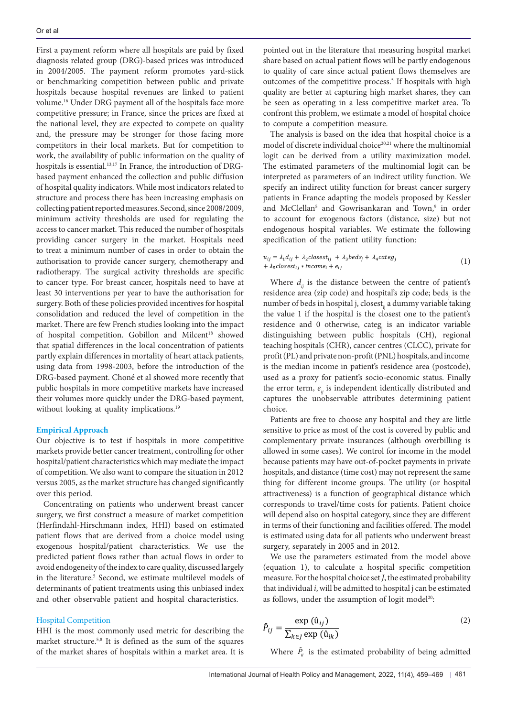First a payment reform where all hospitals are paid by fixed diagnosis related group (DRG)-based prices was introduced in 2004/2005. The payment reform promotes yard-stick or benchmarking competition between public and private hospitals because hospital revenues are linked to patient volume.16 Under DRG payment all of the hospitals face more competitive pressure; in France, since the prices are fixed at the national level, they are expected to compete on quality and, the pressure may be stronger for those facing more competitors in their local markets. But for competition to work, the availability of public information on the quality of hospitals is essential.<sup>13,17</sup> In France, the introduction of DRGbased payment enhanced the collection and public diffusion of hospital quality indicators. While most indicators related to structure and process there has been increasing emphasis on collecting patient reported measures. Second, since 2008/2009, minimum activity thresholds are used for regulating the access to cancer market. This reduced the number of hospitals providing cancer surgery in the market. Hospitals need to treat a minimum number of cases in order to obtain the authorisation to provide cancer surgery, chemotherapy and radiotherapy. The surgical activity thresholds are specific to cancer type. For breast cancer, hospitals need to have at least 30 interventions per year to have the authorisation for surgery. Both of these policies provided incentives for hospital consolidation and reduced the level of competition in the market. There are few French studies looking into the impact of hospital competition. Gobillon and Milcent<sup>18</sup> showed that spatial differences in the local concentration of patients partly explain differences in mortality of heart attack patients, using data from 1998-2003, before the introduction of the DRG-based payment. Choné et al showed more recently that public hospitals in more competitive markets have increased their volumes more quickly under the DRG-based payment, without looking at quality implications.<sup>19</sup>

## **Empirical Approach**

Our objective is to test if hospitals in more competitive markets provide better cancer treatment, controlling for other hospital/patient characteristics which may mediate the impact of competition. We also want to compare the situation in 2012 versus 2005, as the market structure has changed significantly over this period.

Concentrating on patients who underwent breast cancer surgery, we first construct a measure of market competition (Herfindahl-Hirschmann index, HHI) based on estimated patient flows that are derived from a choice model using exogenous hospital/patient characteristics. We use the predicted patient flows rather than actual flows in order to avoid endogeneity of the index to care quality, discussed largely in the literature.<sup>5</sup> Second, we estimate multilevel models of determinants of patient treatments using this unbiased index and other observable patient and hospital characteristics.

# Hospital Competition

HHI is the most commonly used metric for describing the market structure.5,8 It is defined as the sum of the squares of the market shares of hospitals within a market area. It is pointed out in the literature that measuring hospital market share based on actual patient flows will be partly endogenous to quality of care since actual patient flows themselves are outcomes of the competitive process.<sup>5</sup> If hospitals with high quality are better at capturing high market shares, they can be seen as operating in a less competitive market area. To confront this problem, we estimate a model of hospital choice to compute a competition measure.

The analysis is based on the idea that hospital choice is a model of discrete individual choice<sup>20,21</sup> where the multinomial logit can be derived from a utility maximization model. The estimated parameters of the multinomial logit can be interpreted as parameters of an indirect utility function. We specify an indirect utility function for breast cancer surgery patients in France adapting the models proposed by Kessler and McClellan<sup>5</sup> and Gowrisankaran and Town,<sup>9</sup> in order to account for exogenous factors (distance, size) but not endogenous hospital variables. We estimate the following specification of the patient utility function:

$$
u_{ij} = \lambda_1 d_{ij} + \lambda_2 closest_{ij} + \lambda_3 beds_j + \lambda_4 category_j + \lambda_5 closest_{ij} * income_i + e_{ij}
$$
 (1)

Where  $d_{ij}$  is the distance between the centre of patient's residence area (zip code) and hospital's zip code; beds<sub>;</sub> is the number of beds in hospital j, closest<sub>ii</sub> a dummy variable taking the value 1 if the hospital is the closest one to the patient's residence and 0 otherwise, categ<sub>j</sub> is an indicator variable distinguishing between public hospitals (CH), regional teaching hospitals (CHR), cancer centres (CLCC), private for profit (PL) and private non-profit (PNL) hospitals, and income, is the median income in patient's residence area (postcode), used as a proxy for patient's socio-economic status. Finally the error term,  $e_{ij}$  is independent identically distributed and captures the unobservable attributes determining patient choice.

Patients are free to choose any hospital and they are little sensitive to price as most of the cost is covered by public and complementary private insurances (although overbilling is allowed in some cases). We control for income in the model because patients may have out-of-pocket payments in private hospitals, and distance (time cost) may not represent the same thing for different income groups. The utility (or hospital attractiveness) is a function of geographical distance which corresponds to travel/time costs for patients. Patient choice will depend also on hospital category, since they are different in terms of their functioning and facilities offered. The model is estimated using data for all patients who underwent breast surgery, separately in 2005 and in 2012.

We use the parameters estimated from the model above (equation 1), to calculate a hospital specific competition measure. For the hospital choice set *J*, the estimated probability that individual *i*, will be admitted to hospital j can be estimated as follows, under the assumption of logit model<sup>20</sup>:

$$
\hat{P}_{ij} = \frac{\exp(\hat{u}_{ij})}{\sum_{k \in J} \exp(\hat{u}_{ik})}
$$
\n(2)

Where  $\hat{P}_{ij}$  is the estimated probability of being admitted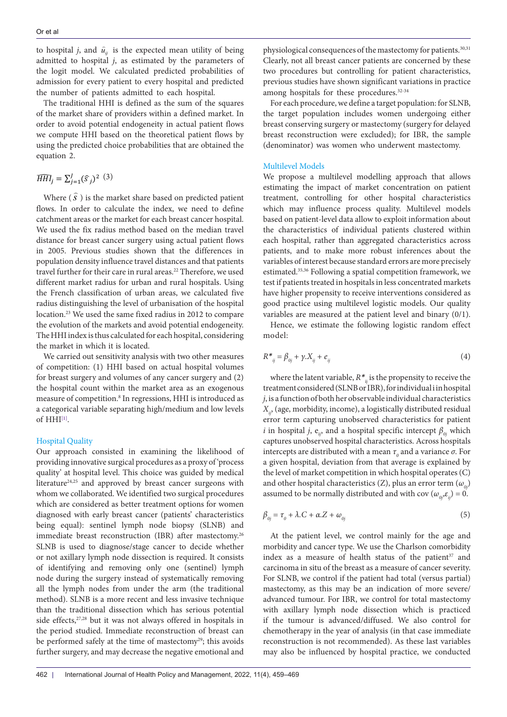to hospital *j*, and  $\hat{u}_j$  is the expected mean utility of being admitted to hospital *j*, as estimated by the parameters of the logit model. We calculated predicted probabilities of admission for every patient to every hospital and predicted the number of patients admitted to each hospital.

The traditional HHI is defined as the sum of the squares of the market share of providers within a defined market. In order to avoid potential endogeneity in actual patient flows we compute HHI based on the theoretical patient flows by using the predicted choice probabilities that are obtained the equation 2.

$$
\widehat{HH}_j = \sum_{j=1}^J (\widehat{s}_j)^2
$$
 (3)

Where  $(\hat{s})$  is the market share based on predicted patient flows. In order to calculate the index, we need to define catchment areas or the market for each breast cancer hospital. We used the fix radius method based on the median travel distance for breast cancer surgery using actual patient flows in 2005. Previous studies shown that the differences in population density influence travel distances and that patients travel further for their care in rural areas.<sup>22</sup> Therefore, we used different market radius for urban and rural hospitals. Using the French classification of urban areas, we calculated five radius distinguishing the level of urbanisation of the hospital location.23 We used the same fixed radius in 2012 to compare the evolution of the markets and avoid potential endogeneity. The HHI index is thus calculated for each hospital, considering the market in which it is located.

We carried out sensitivity analysis with two other measures of competition: (1) HHI based on actual hospital volumes for breast surgery and volumes of any cancer surgery and (2) the hospital count within the market area as an exogenous measure of competition.8 In regressions, HHI is introduced as a categorical variable separating high/medium and low levels of  $HHI^{[1]}$ .

# Hospital Quality

Our approach consisted in examining the likelihood of providing innovative surgical procedures as a proxy of 'process quality' at hospital level. This choice was guided by medical literature<sup>24,25</sup> and approved by breast cancer surgeons with whom we collaborated. We identified two surgical procedures which are considered as better treatment options for women diagnosed with early breast cancer (patients' characteristics being equal): sentinel lymph node biopsy (SLNB) and immediate breast reconstruction (IBR) after mastectomy.<sup>26</sup> SLNB is used to diagnose/stage cancer to decide whether or not axillary lymph node dissection is required. It consists of identifying and removing only one (sentinel) lymph node during the surgery instead of systematically removing all the lymph nodes from under the arm (the traditional method). SLNB is a more recent and less invasive technique than the traditional dissection which has serious potential side effects,<sup>27,28</sup> but it was not always offered in hospitals in the period studied. Immediate reconstruction of breast can be performed safely at the time of mastectomy<sup>29</sup>; this avoids further surgery, and may decrease the negative emotional and

physiological consequences of the mastectomy for patients.<sup>30,31</sup> Clearly, not all breast cancer patients are concerned by these two procedures but controlling for patient characteristics, previous studies have shown significant variations in practice among hospitals for these procedures.<sup>32-34</sup>

For each procedure, we define a target population: for SLNB, the target population includes women undergoing either breast conserving surgery or mastectomy (surgery for delayed breast reconstruction were excluded); for IBR, the sample (denominator) was women who underwent mastectomy.

# Multilevel Models

We propose a multilevel modelling approach that allows estimating the impact of market concentration on patient treatment, controlling for other hospital characteristics which may influence process quality. Multilevel models based on patient-level data allow to exploit information about the characteristics of individual patients clustered within each hospital, rather than aggregated characteristics across patients, and to make more robust inferences about the variables of interest because standard errors are more precisely estimated.35,36 Following a spatial competition framework, we test if patients treated in hospitals in less concentrated markets have higher propensity to receive interventions considered as good practice using multilevel logistic models. Our quality variables are measured at the patient level and binary (0/1).

Hence, we estimate the following logistic random effect model:

$$
R^*_{ij} = \beta_{0j} + \gamma \cdot X_{ij} + e_{ij}
$$
 (4)

where the latent variable,  $R^*$ <sub>ii</sub> is the propensity to receive the treatment considered (SLNB or IBR), for individual i in hospital *j*, is a function of both her observable individual characteristics  $X_{ij}$ , (age, morbidity, income), a logistically distributed residual error term capturing unobserved characteristics for patient *i* in hospital *j*,  $e_{ij}$ , and a hospital specific intercept  $\beta_{0i}$  which captures unobserved hospital characteristics. Across hospitals intercepts are distributed with a mean  $\tau_{_0}$  and a variance  $\sigma$ . For a given hospital, deviation from that average is explained by the level of market competition in which hospital operates (C) and other hospital characteristics (Z), plus an error term  $(\omega_{0i})$ assumed to be normally distributed and with cov  $(\omega_{0i}, \varepsilon_{ii}) = 0$ .

$$
\beta_{oj} = \tau_o + \lambda . C + \alpha . Z + \omega_{oj} \tag{5}
$$

At the patient level, we control mainly for the age and morbidity and cancer type. We use the Charlson comorbidity index as a measure of health status of the patient<sup>37</sup> and carcinoma in situ of the breast as a measure of cancer severity. For SLNB, we control if the patient had total (versus partial) mastectomy, as this may be an indication of more severe/ advanced tumour. For IBR, we control for total mastectomy with axillary lymph node dissection which is practiced if the tumour is advanced/diffused. We also control for chemotherapy in the year of analysis (in that case immediate reconstruction is not recommended). As these last variables may also be influenced by hospital practice, we conducted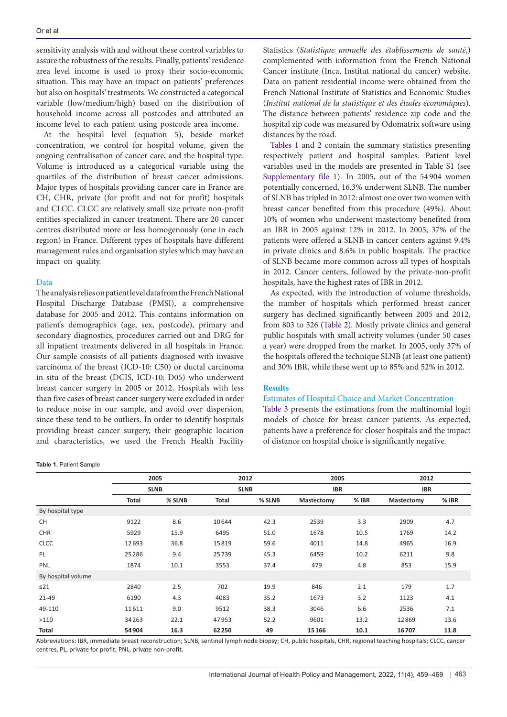sensitivity analysis with and without these control variables to assure the robustness of the results. Finally, patients' residence area level income is used to proxy their socio-economic situation. This may have an impact on patients' preferences but also on hospitals' treatments. We constructed a categorical variable (low/medium/high) based on the distribution of household income across all postcodes and attributed an income level to each patient using postcode area income.

At the hospital level (equation 5), beside market concentration, we control for hospital volume, given the ongoing centralisation of cancer care, and the hospital type. Volume is introduced as a categorical variable using the quartiles of the distribution of breast cancer admissions. Major types of hospitals providing cancer care in France are CH, CHR, private (for profit and not for profit) hospitals and CLCC. CLCC are relatively small size private non-profit entities specialized in cancer treatment. There are 20 cancer centres distributed more or less homogenously (one in each region) in France. Different types of hospitals have different management rules and organisation styles which may have an impact on quality.

## Data

The analysis relies on patient level data from the French National Hospital Discharge Database (PMSI), a comprehensive database for 2005 and 2012. This contains information on patient's demographics (age, sex, postcode), primary and secondary diagnostics, procedures carried out and DRG for all inpatient treatments delivered in all hospitals in France. Our sample consists of all patients diagnosed with invasive carcinoma of the breast (ICD-10: C50) or ductal carcinoma in situ of the breast (DCIS, ICD-10: D05) who underwent breast cancer surgery in 2005 or 2012. Hospitals with less than five cases of breast cancer surgery were excluded in order to reduce noise in our sample, and avoid over dispersion, since these tend to be outliers. In order to identify hospitals providing breast cancer surgery, their geographic location and characteristics, we used the French Health Facility

#### <span id="page-4-0"></span>**Table 1.** Patient Sample

Statistics (*Statistique annuelle des établissements de santé*,) complemented with information from the French National Cancer institute (Inca, Institut national du cancer) website. Data on patient residential income were obtained from the French National Institute of Statistics and Economic Studies (*Institut national de la statistique et des études économiques*). The distance between patients' residence zip code and the hospital zip code was measured by Odomatrix software using distances by the road.

[Tables 1](#page-4-0) and [2](#page-5-0) contain the summary statistics presenting respectively patient and hospital samples. Patient level variables used in the models are presented in Table S1 (see [Supplementary file 1](#page-9-1)). In 2005, out of the 54 904 women potentially concerned, 16.3% underwent SLNB. The number of SLNB has tripled in 2012: almost one over two women with breast cancer benefited from this procedure (49%). About 10% of women who underwent mastectomy benefited from an IBR in 2005 against 12% in 2012. In 2005, 37% of the patients were offered a SLNB in cancer centers against 9.4% in private clinics and 8.6% in public hospitals. The practice of SLNB became more common across all types of hospitals in 2012. Cancer centers, followed by the private-non-profit hospitals, have the highest rates of IBR in 2012.

As expected, with the introduction of volume thresholds, the number of hospitals which performed breast cancer surgery has declined significantly between 2005 and 2012, from 803 to 526 ([Table 2\)](#page-5-0). Mostly private clinics and general public hospitals with small activity volumes (under 50 cases a year) were dropped from the market. In 2005, only 37% of the hospitals offered the technique SLNB (at least one patient) and 30% IBR, while these went up to 85% and 52% in 2012.

# **Results**

#### Estimates of Hospital Choice and Market Concentration

[Table 3](#page-5-1) presents the estimations from the multinomial logit models of choice for breast cancer patients. As expected, patients have a preference for closer hospitals and the impact of distance on hospital choice is significantly negative.

|                    | 2005         |        |              | 2005<br>2012 |            |            | 2012       |            |  |
|--------------------|--------------|--------|--------------|--------------|------------|------------|------------|------------|--|
|                    | <b>SLNB</b>  |        |              | <b>SLNB</b>  |            | <b>IBR</b> |            | <b>IBR</b> |  |
|                    | <b>Total</b> | % SLNB | <b>Total</b> | % SLNB       | Mastectomy | $%$ IBR    | Mastectomy | $%$ IBR    |  |
| By hospital type   |              |        |              |              |            |            |            |            |  |
| <b>CH</b>          | 9122         | 8.6    | 10644        | 42.3         | 2539       | 3.3        | 2909       | 4.7        |  |
| CHR                | 5929         | 15.9   | 6495         | 51.0         | 1678       | 10.5       | 1769       | 14.2       |  |
| <b>CLCC</b>        | 12693        | 36.8   | 15819        | 59.6         | 4011       | 14.8       | 4965       | 16.9       |  |
| PL                 | 25286        | 9.4    | 25739        | 45.3         | 6459       | 10.2       | 6211       | 9.8        |  |
| PNL                | 1874         | 10.1   | 3553         | 37.4         | 479        | 4.8        | 853        | 15.9       |  |
| By hospital volume |              |        |              |              |            |            |            |            |  |
| $\leq$ 21          | 2840         | 2.5    | 702          | 19.9         | 846        | 2.1        | 179        | 1.7        |  |
| 21-49              | 6190         | 4.3    | 4083         | 35.2         | 1673       | 3.2        | 1123       | 4.1        |  |
| 49-110             | 11611        | 9.0    | 9512         | 38.3         | 3046       | 6.6        | 2536       | 7.1        |  |
| >110               | 34263        | 22.1   | 47953        | 52.2         | 9601       | 13.2       | 12869      | 13.6       |  |
| Total              | 54904        | 16.3   | 62250        | 49           | 15166      | 10.1       | 16707      | 11.8       |  |

Abbreviations: IBR, immediate breast reconstruction; SLNB, sentinel lymph node biopsy; CH, public hospitals, CHR, regional teaching hospitals; CLCC, cancer centres, PL, private for profit; PNL, private non-profit.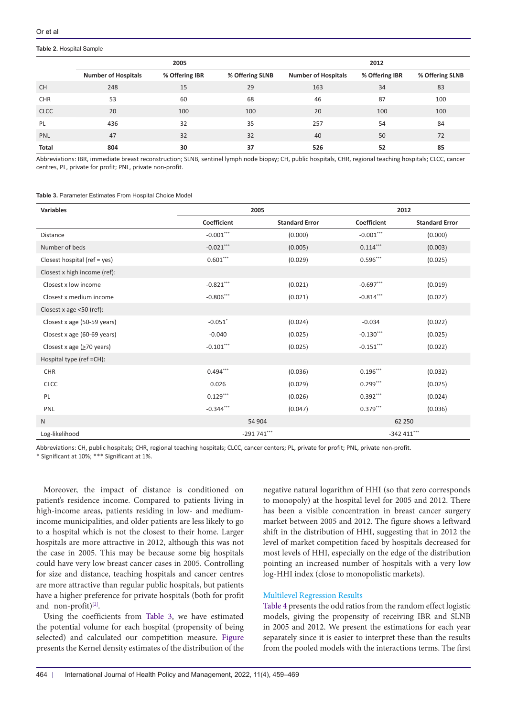#### <span id="page-5-0"></span>**Table 2.** Hospital Sample

|              |                            | 2005           |                 | 2012                       |                |                 |  |  |
|--------------|----------------------------|----------------|-----------------|----------------------------|----------------|-----------------|--|--|
|              | <b>Number of Hospitals</b> | % Offering IBR | % Offering SLNB | <b>Number of Hospitals</b> | % Offering IBR | % Offering SLNB |  |  |
| <b>CH</b>    | 248                        | 15             | 29              | 163                        | 34             | 83              |  |  |
| <b>CHR</b>   | 53                         | 60             | 68              | 46                         | 87             | 100             |  |  |
| <b>CLCC</b>  | 20                         | 100            | 100             | 20                         | 100            | 100             |  |  |
| PL           | 436                        | 32             | 35              | 257                        | 54             | 84              |  |  |
| PNL          | 47                         | 32             | 32              | 40                         | 50             | 72              |  |  |
| <b>Total</b> | 804                        | 30             | 37              | 526                        | 52             | 85              |  |  |

Abbreviations: IBR, immediate breast reconstruction; SLNB, sentinel lymph node biopsy; CH, public hospitals, CHR, regional teaching hospitals; CLCC, cancer centres, PL, private for profit; PNL, private non-profit.

<span id="page-5-1"></span>**Table 3.** Parameter Estimates From Hospital Choice Model

| <b>Variables</b>             |             | 2005                  |             | 2012                  |  |  |
|------------------------------|-------------|-----------------------|-------------|-----------------------|--|--|
|                              | Coefficient | <b>Standard Error</b> | Coefficient | <b>Standard Error</b> |  |  |
| <b>Distance</b>              | $-0.001***$ | (0.000)               | $-0.001***$ | (0.000)               |  |  |
| Number of beds               | $-0.021***$ | (0.005)               | $0.114***$  | (0.003)               |  |  |
| Closest hospital (ref = yes) | $0.601***$  | (0.029)               | $0.596***$  | (0.025)               |  |  |
| Closest x high income (ref): |             |                       |             |                       |  |  |
| Closest x low income         | $-0.821***$ | (0.021)               | $-0.697***$ | (0.019)               |  |  |
| Closest x medium income      | $-0.806***$ | (0.021)               | $-0.814***$ | (0.022)               |  |  |
| Closest x age $<$ 50 (ref):  |             |                       |             |                       |  |  |
| Closest x age (50-59 years)  | $-0.051$ *  | (0.024)               | $-0.034$    | (0.022)               |  |  |
| Closest x age (60-69 years)  | $-0.040$    | (0.025)               | $-0.130***$ | (0.025)               |  |  |
| Closest x age $(≥70$ years)  | $-0.101***$ | (0.025)               | $-0.151***$ | (0.022)               |  |  |
| Hospital type (ref =CH):     |             |                       |             |                       |  |  |
| <b>CHR</b>                   | $0.494***$  | (0.036)               | $0.196***$  | (0.032)               |  |  |
| <b>CLCC</b>                  | 0.026       | (0.029)               | $0.299***$  | (0.025)               |  |  |
| PL                           | $0.129***$  | (0.026)               | $0.392***$  | (0.024)               |  |  |
| PNL                          | $-0.344***$ | (0.047)               | $0.379***$  | (0.036)               |  |  |
| ${\sf N}$                    |             | 54 904                |             | 62 250                |  |  |
| Log-likelihood               |             | $-291741$ ***         |             | $-34241$ ***          |  |  |

Abbreviations: CH, public hospitals; CHR, regional teaching hospitals; CLCC, cancer centers; PL, private for profit; PNL, private non-profit. \* Significant at 10%; \*\*\* Significant at 1%.

Moreover, the impact of distance is conditioned on patient's residence income. Compared to patients living in high-income areas, patients residing in low- and mediumincome municipalities, and older patients are less likely to go to a hospital which is not the closest to their home. Larger hospitals are more attractive in 2012, although this was not the case in 2005. This may be because some big hospitals could have very low breast cancer cases in 2005. Controlling for size and distance, teaching hospitals and cancer centres are more attractive than regular public hospitals, but patients have a higher preference for private hospitals (both for profit and non-profit)<sup>[2]</sup>.

Using the coefficients from [Table 3](#page-5-1), we have estimated the potential volume for each hospital (propensity of being selected) and calculated our competition measure. [Figure](#page-6-0) presents the Kernel density estimates of the distribution of the

negative natural logarithm of HHI (so that zero corresponds to monopoly) at the hospital level for 2005 and 2012. There has been a visible concentration in breast cancer surgery market between 2005 and 2012. The figure shows a leftward shift in the distribution of HHI, suggesting that in 2012 the level of market competition faced by hospitals decreased for most levels of HHI, especially on the edge of the distribution pointing an increased number of hospitals with a very low log-HHI index (close to monopolistic markets).

# Multilevel Regression Results

[Table 4](#page-7-0) presents the odd ratios from the random effect logistic models, giving the propensity of receiving IBR and SLNB in 2005 and 2012. We present the estimations for each year separately since it is easier to interpret these than the results from the pooled models with the interactions terms. The first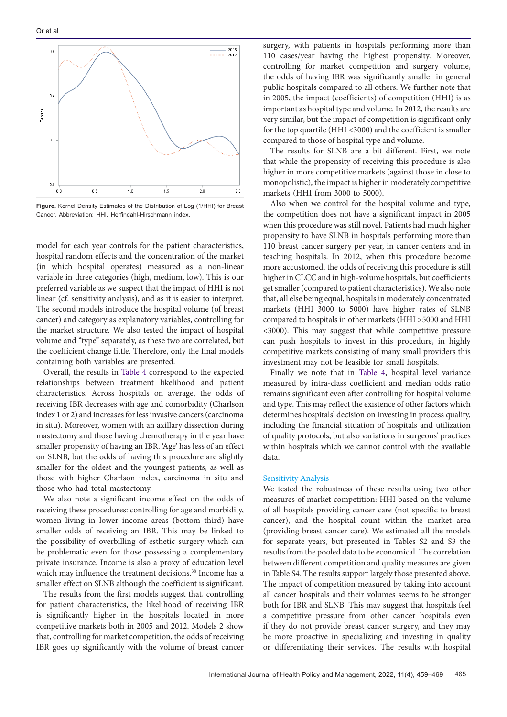<span id="page-6-0"></span>Or et al



**Figure.** Kernel Density Estimates of the Distribution of Log (1/HHI) for Breast Cancer. Abbreviation: HHI, Herfindahl-Hirschmann index.

model for each year controls for the patient characteristics, hospital random effects and the concentration of the market (in which hospital operates) measured as a non-linear variable in three categories (high, medium, low). This is our preferred variable as we suspect that the impact of HHI is not linear (cf. sensitivity analysis), and as it is easier to interpret. The second models introduce the hospital volume (of breast cancer) and category as explanatory variables, controlling for the market structure. We also tested the impact of hospital volume and "type" separately, as these two are correlated, but the coefficient change little. Therefore, only the final models containing both variables are presented.

Overall, the results in [Table 4](#page-7-0) correspond to the expected relationships between treatment likelihood and patient characteristics. Across hospitals on average, the odds of receiving IBR decreases with age and comorbidity (Charlson index 1 or 2) and increases for less invasive cancers (carcinoma in situ). Moreover, women with an axillary dissection during mastectomy and those having chemotherapy in the year have smaller propensity of having an IBR. 'Age' has less of an effect on SLNB, but the odds of having this procedure are slightly smaller for the oldest and the youngest patients, as well as those with higher Charlson index, carcinoma in situ and those who had total mastectomy.

We also note a significant income effect on the odds of receiving these procedures: controlling for age and morbidity, women living in lower income areas (bottom third) have smaller odds of receiving an IBR. This may be linked to the possibility of overbilling of esthetic surgery which can be problematic even for those possessing a complementary private insurance. Income is also a proxy of education level which may influence the treatment decisions.<sup>38</sup> Income has a smaller effect on SLNB although the coefficient is significant.

The results from the first models suggest that, controlling for patient characteristics, the likelihood of receiving IBR is significantly higher in the hospitals located in more competitive markets both in 2005 and 2012. Models 2 show that, controlling for market competition, the odds of receiving IBR goes up significantly with the volume of breast cancer

surgery, with patients in hospitals performing more than 110 cases/year having the highest propensity. Moreover, controlling for market competition and surgery volume, the odds of having IBR was significantly smaller in general public hospitals compared to all others. We further note that in 2005, the impact (coefficients) of competition (HHI) is as important as hospital type and volume. In 2012, the results are very similar, but the impact of competition is significant only for the top quartile (HHI <3000) and the coefficient is smaller compared to those of hospital type and volume.

The results for SLNB are a bit different. First, we note that while the propensity of receiving this procedure is also higher in more competitive markets (against those in close to monopolistic), the impact is higher in moderately competitive markets (HHI from 3000 to 5000).

Also when we control for the hospital volume and type, the competition does not have a significant impact in 2005 when this procedure was still novel. Patients had much higher propensity to have SLNB in hospitals performing more than 110 breast cancer surgery per year, in cancer centers and in teaching hospitals. In 2012, when this procedure become more accustomed, the odds of receiving this procedure is still higher in CLCC and in high-volume hospitals, but coefficients get smaller (compared to patient characteristics). We also note that, all else being equal, hospitals in moderately concentrated markets (HHI 3000 to 5000) have higher rates of SLNB compared to hospitals in other markets (HHI >5000 and HHI <3000). This may suggest that while competitive pressure can push hospitals to invest in this procedure, in highly competitive markets consisting of many small providers this investment may not be feasible for small hospitals.

Finally we note that in [Table 4](#page-7-0), hospital level variance measured by intra-class coefficient and median odds ratio remains significant even after controlling for hospital volume and type. This may reflect the existence of other factors which determines hospitals' decision on investing in process quality, including the financial situation of hospitals and utilization of quality protocols, but also variations in surgeons' practices within hospitals which we cannot control with the available data.

# Sensitivity Analysis

We tested the robustness of these results using two other measures of market competition: HHI based on the volume of all hospitals providing cancer care (not specific to breast cancer), and the hospital count within the market area (providing breast cancer care). We estimated all the models for separate years, but presented in Tables S2 and S3 the results from the pooled data to be economical. The correlation between different competition and quality measures are given in Table S4. The results support largely those presented above. The impact of competition measured by taking into account all cancer hospitals and their volumes seems to be stronger both for IBR and SLNB. This may suggest that hospitals feel a competitive pressure from other cancer hospitals even if they do not provide breast cancer surgery, and they may be more proactive in specializing and investing in quality or differentiating their services. The results with hospital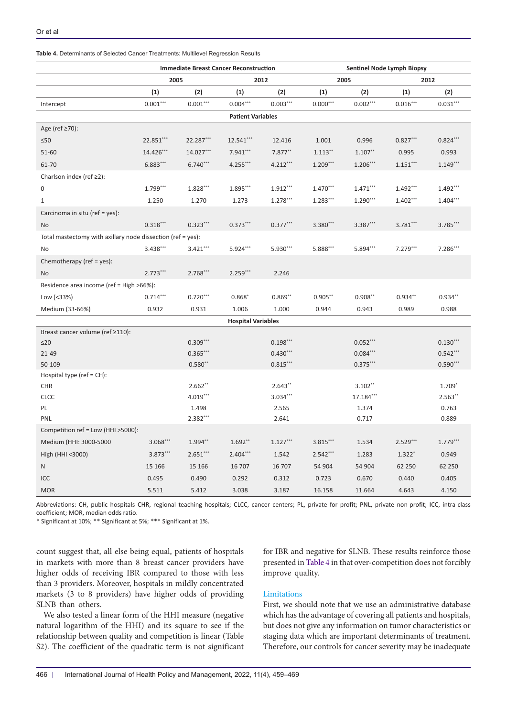<span id="page-7-0"></span>

| Table 4. Determinants of Selected Cancer Treatments: Multilevel Regression Results |  |
|------------------------------------------------------------------------------------|--|
|------------------------------------------------------------------------------------|--|

|                                                             |            | <b>Immediate Breast Cancer Reconstruction</b> |                           |            | <b>Sentinel Node Lymph Biopsy</b> |            |            |            |  |
|-------------------------------------------------------------|------------|-----------------------------------------------|---------------------------|------------|-----------------------------------|------------|------------|------------|--|
|                                                             | 2005       |                                               | 2012                      |            | 2005                              |            | 2012       |            |  |
|                                                             | (1)        | (2)                                           | (1)                       | (2)        | (1)                               | (2)        | (1)        | (2)        |  |
| Intercept                                                   | $0.001***$ | $0.001***$                                    | $0.004***$                | $0.003***$ | $0.000***$                        | $0.002***$ | $0.016***$ | $0.031***$ |  |
|                                                             |            |                                               | <b>Patient Variables</b>  |            |                                   |            |            |            |  |
| Age (ref $\geq 70$ ):                                       |            |                                               |                           |            |                                   |            |            |            |  |
| $\leq 50$                                                   | 22.851***  | 22.287***                                     | 12.541***                 | 12.416     | 1.001                             | 0.996      | $0.827***$ | $0.824***$ |  |
| 51-60                                                       | 14.426***  | 14.027***                                     | $7.941***$                | $7.877**$  | $1.113**$                         | $1.107**$  | 0.995      | 0.993      |  |
| 61-70                                                       | $6.883***$ | $6.740***$                                    | 4.255***                  | 4.212***   | $1.209***$                        | $1.206***$ | $1.151***$ | $1.149***$ |  |
| Charlson index (ref $\geq$ 2):                              |            |                                               |                           |            |                                   |            |            |            |  |
| 0                                                           | $1.799***$ | $1.828***$                                    | 1.895***                  | $1.912***$ | $1.470***$                        | $1.471***$ | $1.492***$ | $1.492***$ |  |
| $\mathbf{1}$                                                | 1.250      | 1.270                                         | 1.273                     | $1.278***$ | $1.283***$                        | $1.290***$ | $1.402***$ | 1.404***   |  |
| Carcinoma in situ (ref = yes):                              |            |                                               |                           |            |                                   |            |            |            |  |
| No                                                          | $0.318***$ | $0.323***$                                    | $0.373***$                | $0.377***$ | $3.380***$                        | $3.387***$ | $3.781***$ | 3.785***   |  |
| Total mastectomy with axillary node dissection (ref = yes): |            |                                               |                           |            |                                   |            |            |            |  |
| No                                                          | 3.438***   | $3.421***$                                    | 5.924***                  | 5.930***   | 5.888***                          | 5.894***   | $7.279***$ | $7.286***$ |  |
| Chemotherapy (ref = yes):                                   |            |                                               |                           |            |                                   |            |            |            |  |
| No                                                          | $2.773***$ | $2.768***$                                    | $2.259***$                | 2.246      |                                   |            |            |            |  |
| Residence area income (ref = High >66%):                    |            |                                               |                           |            |                                   |            |            |            |  |
| Low $( < 33\%)$                                             | $0.714***$ | $0.720***$                                    | $0.868*$                  | $0.869**$  | $0.905***$                        | $0.908**$  | $0.934**$  | $0.934**$  |  |
| Medium (33-66%)                                             | 0.932      | 0.931                                         | 1.006                     | 1.000      | 0.944                             | 0.943      | 0.989      | 0.988      |  |
|                                                             |            |                                               | <b>Hospital Variables</b> |            |                                   |            |            |            |  |
| Breast cancer volume (ref $\geq$ 110):                      |            |                                               |                           |            |                                   |            |            |            |  |
| ≤20                                                         |            | $0.309***$                                    |                           | $0.198***$ |                                   | $0.052***$ |            | $0.130***$ |  |
| 21-49                                                       |            | $0.365***$                                    |                           | $0.430***$ |                                   | $0.084***$ |            | $0.542***$ |  |
| 50-109                                                      |            | $0.580**$                                     |                           | $0.815***$ |                                   | $0.375***$ |            | $0.590***$ |  |
| Hospital type ( $ref = CH$ ):                               |            |                                               |                           |            |                                   |            |            |            |  |
| <b>CHR</b>                                                  |            | $2.662**$                                     |                           | $2.643**$  |                                   | $3.102**$  |            | $1.709*$   |  |
| <b>CLCC</b>                                                 |            | $4.019***$                                    |                           | 3.034***   |                                   | 17.184***  |            | $2.563**$  |  |
| PL                                                          |            | 1.498                                         |                           | 2.565      |                                   | 1.374      |            | 0.763      |  |
| PNL                                                         |            | 2.382***                                      |                           | 2.641      |                                   | 0.717      |            | 0.889      |  |
| Competition ref = Low (HHI >5000):                          |            |                                               |                           |            |                                   |            |            |            |  |
| Medium (HHI: 3000-5000                                      | 3.068***   | 1.994**                                       | $1.692**$                 | $1.127***$ | $3.815***$                        | 1.534      | $2.529***$ | $1.779***$ |  |
| High (HHI <3000)                                            | 3.873***   | $2.651***$                                    | $2.404***$                | 1.542      | $2.542***$                        | 1.283      | $1.322*$   | 0.949      |  |
| N                                                           | 15 166     | 15 16 6                                       | 16 707                    | 16 707     | 54 904                            | 54 904     | 62 250     | 62 250     |  |
| ICC                                                         | 0.495      | 0.490                                         | 0.292                     | 0.312      | 0.723                             | 0.670      | 0.440      | 0.405      |  |
| <b>MOR</b>                                                  | 5.511      | 5.412                                         | 3.038                     | 3.187      | 16.158                            | 11.664     | 4.643      | 4.150      |  |

Abbreviations: CH, public hospitals CHR, regional teaching hospitals; CLCC, cancer centers; PL, private for profit; PNL, private non-profit; ICC, intra-class coefficient; MOR, median odds ratio.

\* Significant at 10%; \*\* Significant at 5%; \*\*\* Significant at 1%.

count suggest that, all else being equal, patients of hospitals in markets with more than 8 breast cancer providers have higher odds of receiving IBR compared to those with less than 3 providers. Moreover, hospitals in mildly concentrated markets (3 to 8 providers) have higher odds of providing SLNB than others.

We also tested a linear form of the HHI measure (negative natural logarithm of the HHI) and its square to see if the relationship between quality and competition is linear (Table S2). The coefficient of the quadratic term is not significant

for IBR and negative for SLNB. These results reinforce those presented in [Table 4](#page-7-0) in that over-competition does not forcibly improve quality.

#### Limitations

First, we should note that we use an administrative database which has the advantage of covering all patients and hospitals, but does not give any information on tumor characteristics or staging data which are important determinants of treatment. Therefore, our controls for cancer severity may be inadequate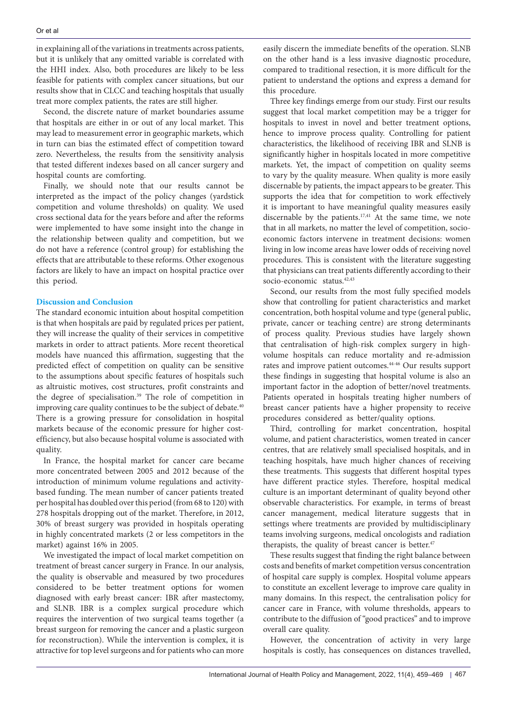in explaining all of the variations in treatments across patients, but it is unlikely that any omitted variable is correlated with the HHI index. Also, both procedures are likely to be less feasible for patients with complex cancer situations, but our results show that in CLCC and teaching hospitals that usually treat more complex patients, the rates are still higher.

Second, the discrete nature of market boundaries assume that hospitals are either in or out of any local market. This may lead to measurement error in geographic markets, which in turn can bias the estimated effect of competition toward zero. Nevertheless, the results from the sensitivity analysis that tested different indexes based on all cancer surgery and hospital counts are comforting.

Finally, we should note that our results cannot be interpreted as the impact of the policy changes (yardstick competition and volume thresholds) on quality. We used cross sectional data for the years before and after the reforms were implemented to have some insight into the change in the relationship between quality and competition, but we do not have a reference (control group) for establishing the effects that are attributable to these reforms. Other exogenous factors are likely to have an impact on hospital practice over this period.

# **Discussion and Conclusion**

The standard economic intuition about hospital competition is that when hospitals are paid by regulated prices per patient, they will increase the quality of their services in competitive markets in order to attract patients. More recent theoretical models have nuanced this affirmation, suggesting that the predicted effect of competition on quality can be sensitive to the assumptions about specific features of hospitals such as altruistic motives, cost structures, profit constraints and the degree of specialisation.<sup>39</sup> The role of competition in improving care quality continues to be the subject of debate.<sup>40</sup> There is a growing pressure for consolidation in hospital markets because of the economic pressure for higher costefficiency, but also because hospital volume is associated with quality.

In France, the hospital market for cancer care became more concentrated between 2005 and 2012 because of the introduction of minimum volume regulations and activitybased funding. The mean number of cancer patients treated per hospital has doubled over this period (from 68 to 120) with 278 hospitals dropping out of the market. Therefore, in 2012, 30% of breast surgery was provided in hospitals operating in highly concentrated markets (2 or less competitors in the market) against 16% in 2005.

We investigated the impact of local market competition on treatment of breast cancer surgery in France. In our analysis, the quality is observable and measured by two procedures considered to be better treatment options for women diagnosed with early breast cancer: IBR after mastectomy, and SLNB. IBR is a complex surgical procedure which requires the intervention of two surgical teams together (a breast surgeon for removing the cancer and a plastic surgeon for reconstruction). While the intervention is complex, it is attractive for top level surgeons and for patients who can more easily discern the immediate benefits of the operation. SLNB on the other hand is a less invasive diagnostic procedure, compared to traditional resection, it is more difficult for the patient to understand the options and express a demand for this procedure.

Three key findings emerge from our study. First our results suggest that local market competition may be a trigger for hospitals to invest in novel and better treatment options, hence to improve process quality. Controlling for patient characteristics, the likelihood of receiving IBR and SLNB is significantly higher in hospitals located in more competitive markets. Yet, the impact of competition on quality seems to vary by the quality measure. When quality is more easily discernable by patients, the impact appears to be greater. This supports the idea that for competition to work effectively it is important to have meaningful quality measures easily discernable by the patients.<sup>17,41</sup> At the same time, we note that in all markets, no matter the level of competition, socioeconomic factors intervene in treatment decisions: women living in low income areas have lower odds of receiving novel procedures. This is consistent with the literature suggesting that physicians can treat patients differently according to their socio-economic status.<sup>42,43</sup>

Second, our results from the most fully specified models show that controlling for patient characteristics and market concentration, both hospital volume and type (general public, private, cancer or teaching centre) are strong determinants of process quality. Previous studies have largely shown that centralisation of high-risk complex surgery in highvolume hospitals can reduce mortality and re-admission rates and improve patient outcomes.<sup>44-46</sup> Our results support these findings in suggesting that hospital volume is also an important factor in the adoption of better/novel treatments. Patients operated in hospitals treating higher numbers of breast cancer patients have a higher propensity to receive procedures considered as better/quality options.

Third, controlling for market concentration, hospital volume, and patient characteristics, women treated in cancer centres, that are relatively small specialised hospitals, and in teaching hospitals, have much higher chances of receiving these treatments. This suggests that different hospital types have different practice styles. Therefore, hospital medical culture is an important determinant of quality beyond other observable characteristics. For example, in terms of breast cancer management, medical literature suggests that in settings where treatments are provided by multidisciplinary teams involving surgeons, medical oncologists and radiation therapists, the quality of breast cancer is better.<sup>47</sup>

These results suggest that finding the right balance between costs and benefits of market competition versus concentration of hospital care supply is complex. Hospital volume appears to constitute an excellent leverage to improve care quality in many domains. In this respect, the centralisation policy for cancer care in France, with volume thresholds, appears to contribute to the diffusion of "good practices" and to improve overall care quality.

However, the concentration of activity in very large hospitals is costly, has consequences on distances travelled,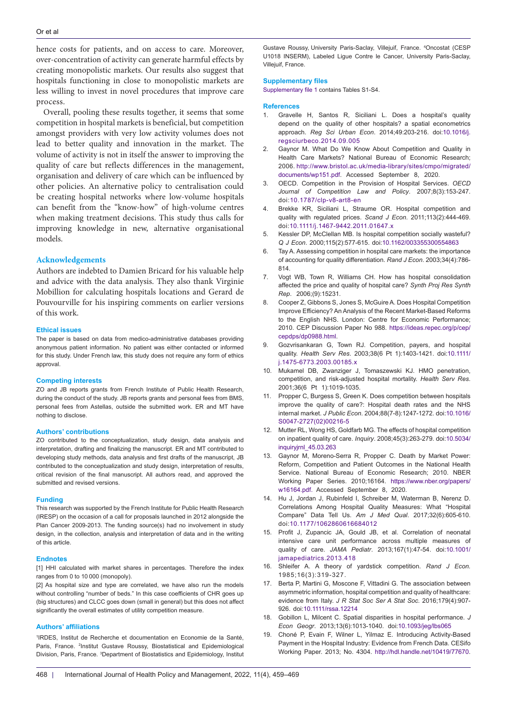### Or et al

hence costs for patients, and on access to care. Moreover, over-concentration of activity can generate harmful effects by creating monopolistic markets. Our results also suggest that hospitals functioning in close to monopolistic markets are less willing to invest in novel procedures that improve care process.

Overall, pooling these results together, it seems that some competition in hospital markets is beneficial, but competition amongst providers with very low activity volumes does not lead to better quality and innovation in the market. The volume of activity is not in itself the answer to improving the quality of care but reflects differences in the management, organisation and delivery of care which can be influenced by other policies. An alternative policy to centralisation could be creating hospital networks where low-volume hospitals can benefit from the "know-how" of high-volume centres when making treatment decisions. This study thus calls for improving knowledge in new, alternative organisational models.

#### **Acknowledgements**

Authors are indebted to Damien Bricard for his valuable help and advice with the data analysis. They also thank Virginie Mobillion for calculating hospitals locations and Gerard de Pouvourville for his inspiring comments on earlier versions of this work.

#### **Ethical issues**

The paper is based on data from medico-administrative databases providing anonymous patient information. No patient was either contacted or informed for this study. Under French law, this study does not require any form of ethics approval.

#### **Competing interests**

ZO and JB reports grants from French Institute of Public Health Research, during the conduct of the study. JB reports grants and personal fees from BMS, personal fees from Astellas, outside the submitted work. ER and MT have nothing to disclose.

#### **Authors' contributions**

ZO contributed to the conceptualization, study design, data analysis and interpretation, drafting and finalizing the manuscript. ER and MT contributed to developing study methods, data analysis and first drafts of the manuscript, JB contributed to the conceptualization and study design, interpretation of results, critical revision of the final manuscript. All authors read, and approved the submitted and revised versions.

#### **Funding**

This research was supported by the French Institute for Public Health Research (IRESP) on the occasion of a call for proposals launched in 2012 alongside the Plan Cancer 2009-2013. The funding source(s) had no involvement in study design, in the collection, analysis and interpretation of data and in the writing of this article.

#### **Endnotes**

<span id="page-9-0"></span>[1] HHI calculated with market shares in percentages. Therefore the index ranges from 0 to 10 000 (monopoly).

<span id="page-9-2"></span>[2] As hospital size and type are correlated, we have also run the models without controlling "number of beds." In this case coefficients of CHR goes up (big structures) and CLCC goes down (small in general) but this does not affect significantly the overall estimates of utility competition measure.

#### **Authors' affiliations**

1 IRDES, Institut de Recherche et documentation en Economie de la Santé, Paris, France. <sup>2</sup>Institut Gustave Roussy, Biostatistical and Epidemiological Division, Paris, France. <sup>3</sup>Department of Biostatistics and Epidemiology, Institut

Gustave Roussy, University Paris-Saclay, Villejuif, France. 4 Oncostat (CESP U1018 INSERM), Labeled Ligue Contre le Cancer, University Paris-Saclay, Villejuif, France.

#### **Supplementary files**

<span id="page-9-1"></span>[Supplementary file 1](https://www.ijhpm.com/jufile?ar_sfile=44153) contains Tables S1-S4.

#### **References**

- 1. Gravelle H, Santos R, Siciliani L. Does a hospital's quality depend on the quality of other hospitals? a spatial econometrics approach. *Reg Sci Urban Econ*. 2014;49:203-216. doi[:10.1016/j.](https://doi.org/10.1016/j.regsciurbeco.2014.09.005) [regsciurbeco.2014.09.005](https://doi.org/10.1016/j.regsciurbeco.2014.09.005)
- 2. Gaynor M. What Do We Know About Competition and Quality in Health Care Markets? National Bureau of Economic Research; 2006. [http://www.bristol.ac.uk/media-library/sites/cmpo/migrated/](http://www.bristol.ac.uk/media-library/sites/cmpo/migrated/documents/wp151.pdf) [documents/wp151.pdf](http://www.bristol.ac.uk/media-library/sites/cmpo/migrated/documents/wp151.pdf). Accessed September 8, 2020.
- 3. OECD. Competition in the Provision of Hospital Services. *OECD Journal of Competition Law and Policy*. 2007;8(3):153-247. doi:[10.1787/clp-v8-art8-en](https://doi.org/10.1787/clp-v8-art8-en)
- 4. Brekke KR, Siciliani L, Straume OR. Hospital competition and quality with regulated prices. *Scand J Econ*. 2011;113(2):444-469. doi:[10.1111/j.1467-9442.2011.01647.x](https://doi.org/10.1111/j.1467-9442.2011.01647.x)
- 5. Kessler DP, McClellan MB. Is hospital competition socially wasteful? *Q J Econ*. 2000;115(2):577-615. doi:[10.1162/003355300554863](https://doi.org/10.1162/003355300554863)
- 6. Tay A. Assessing competition in hospital care markets: the importance of accounting for quality differentiation. *Rand J Econ*. 2003;34(4):786- 814.
- 7. Vogt WB, Town R, Williams CH. How has hospital consolidation affected the price and quality of hospital care? *Synth Proj Res Synth Rep*. 2006;(9):15231.
- 8. Cooper Z, Gibbons S, Jones S, McGuire A. Does Hospital Competition Improve Efficiency? An Analysis of the Recent Market-Based Reforms to the English NHS. London: Centre for Economic Performance; 2010. CEP Discussion Paper No 988. [https://ideas.repec.org/p/cep/](https://ideas.repec.org/p/cep/cepdps/dp0988.html) [cepdps/dp0988.html.](https://ideas.repec.org/p/cep/cepdps/dp0988.html)
- 9. Gozvrisankaran G, Town RJ. Competition, payers, and hospital quality. *Health Serv Res*. 2003;38(6 Pt 1):1403-1421. doi:[10.1111/](https://doi.org/10.1111/j.1475-6773.2003.00185.x) [j.1475-6773.2003.00185.x](https://doi.org/10.1111/j.1475-6773.2003.00185.x)
- 10. Mukamel DB, Zwanziger J, Tomaszewski KJ. HMO penetration, competition, and risk-adjusted hospital mortality. *Health Serv Res*. 2001;36(6 Pt 1):1019-1035.
- 11. Propper C, Burgess S, Green K. Does competition between hospitals improve the quality of care?: Hospital death rates and the NHS internal market. *J Public Econ*. 2004;88(7-8):1247-1272. doi:[10.1016/](https://doi.org/10.1016/S0047-2727(02)00216-5) [S0047-2727\(02\)00216-5](https://doi.org/10.1016/S0047-2727(02)00216-5)
- 12. Mutter RL, Wong HS, Goldfarb MG. The effects of hospital competition on inpatient quality of care. *Inquiry*. 2008;45(3):263-279. doi:[10.5034/](https://doi.org/10.5034/inquiryjrnl_45.03.263) inquirvirnl\_45.03.263
- 13. Gaynor M, Moreno-Serra R, Propper C. Death by Market Power: Reform, Competition and Patient Outcomes in the National Health Service. National Bureau of Economic Research; 2010. NBER Working Paper Series. 2010;16164. [https://www.nber.org/papers/](https://www.nber.org/papers/w16164.pdf) [w16164.pdf](https://www.nber.org/papers/w16164.pdf). Accessed September 8, 2020.
- 14. Hu J, Jordan J, Rubinfeld I, Schreiber M, Waterman B, Nerenz D. Correlations Among Hospital Quality Measures: What "Hospital Compare" Data Tell Us. *Am J Med Qual*. 2017;32(6):605-610. doi:[10.1177/1062860616684012](https://doi.org/10.1177/1062860616684012)
- 15. Profit J, Zupancic JA, Gould JB, et al. Correlation of neonatal intensive care unit performance across multiple measures of quality of care. *JAMA Pediatr*. 2013;167(1):47-54. doi:[10.1001/](https://doi.org/10.1001/jamapediatrics.2013.418) [jamapediatrics.2013.418](https://doi.org/10.1001/jamapediatrics.2013.418)
- 16. Shleifer A. A theory of yardstick competition. *Rand J Econ.* 1985;16(3):319-327.
- 17. Berta P, Martini G, Moscone F, Vittadini G. The association between asymmetric information, hospital competition and quality of healthcare: evidence from Italy. *J R Stat Soc Ser A Stat Soc.* 2016;179(4):907- 926. doi[:10.1111/rssa.12214](https://doi.org/10.1111/rssa.12214)
- 18. Gobillon L, Milcent C. Spatial disparities in hospital performance. *J Econ Geogr*. 2013;13(6):1013-1040. doi:[10.1093/jeg/lbs065](https://doi.org/10.1093/jeg/lbs065)
- 19. Choné P, Evain F, Wilner L, Yilmaz E. Introducing Activity-Based Payment in the Hospital Industry: Evidence from French Data. CESifo Working Paper. 2013; No. 4304. [http://hdl.handle.net/10419/77670.](http://hdl.handle.net/10419/77670)